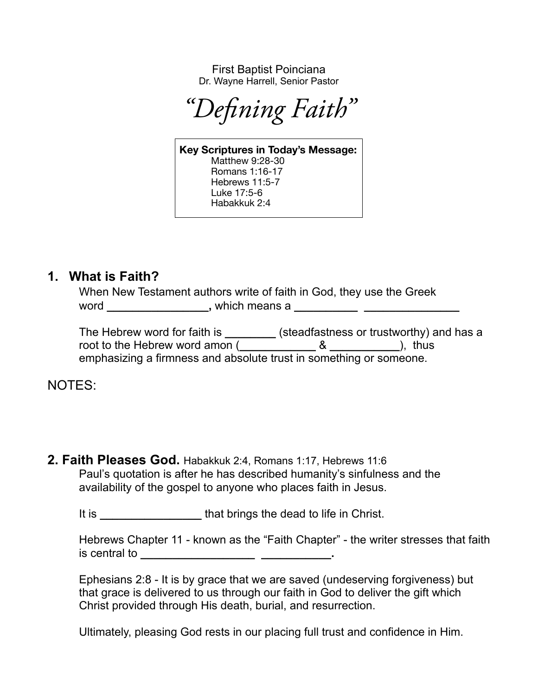First Baptist Poinciana Dr. Wayne Harrell, Senior Pastor

*"Defining Faith"*

**Key Scriptures in Today's Message:**  Matthew 9:28-30 Romans 1:16-17 Hebrews 11:5-7 Luke 17:5-6 Habakkuk 2:4

## **1. What is Faith?**

When New Testament authors write of faith in God, they use the Greek word **\_\_\_\_\_\_\_\_\_\_\_\_\_\_\_\_,** which means a **\_\_\_\_\_\_\_\_\_\_ \_\_\_\_\_\_\_\_\_\_\_\_\_\_\_**

The Hebrew word for faith is **\_\_\_\_\_\_\_\_** (steadfastness or trustworthy) and has a root to the Hebrew word amon (  $\&$  ), thus emphasizing a firmness and absolute trust in something or someone.

NOTES:

**2. Faith Pleases God.** Habakkuk 2:4, Romans 1:17, Hebrews 11:6 Paul's quotation is after he has described humanity's sinfulness and the availability of the gospel to anyone who places faith in Jesus.

It is **that brings the dead to life in Christ.** 

Hebrews Chapter 11 - known as the "Faith Chapter" - the writer stresses that faith is central to **\_\_\_\_\_\_\_\_\_\_\_\_\_\_\_\_\_\_ \_\_\_\_\_\_\_\_\_\_\_.**

Ephesians 2:8 - It is by grace that we are saved (undeserving forgiveness) but that grace is delivered to us through our faith in God to deliver the gift which Christ provided through His death, burial, and resurrection.

Ultimately, pleasing God rests in our placing full trust and confidence in Him.